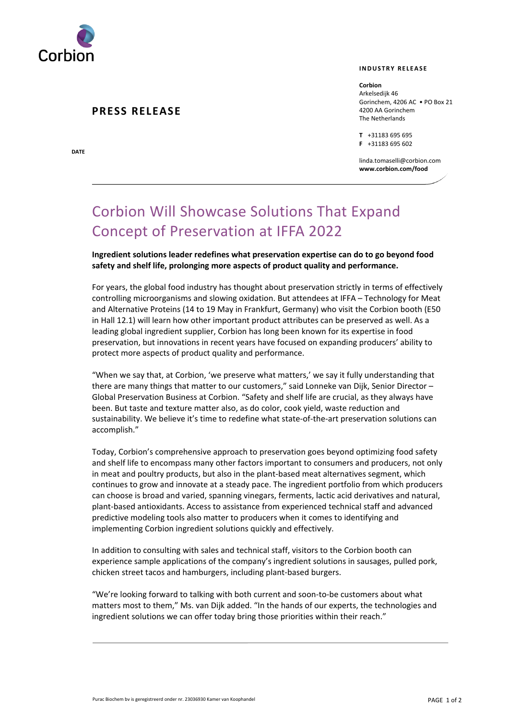

### **PRESS RELEASE**

**DATE**

#### **I N D U S T R Y R E L E A S E**

**Corbion** Arkelsedijk 46 Gorinchem, 4206 AC • PO Box 21 4200 AA Gorinchem The Netherlands

**T** +31183 695 695 **F** +31183 695 602

linda.tomaselli@corbion.com **www.corbion.com/food**

# Corbion Will Showcase Solutions That Expand Concept of Preservation at IFFA 2022

**Ingredient solutions leader redefines what preservation expertise can do to go beyond food safety and shelf life, prolonging more aspects of product quality and performance.**

For years, the global food industry has thought about preservation strictly in terms of effectively controlling microorganisms and slowing oxidation. But attendees at IFFA – Technology for Meat and Alternative Proteins (14 to 19 May in Frankfurt, Germany) who visit the Corbion booth (E50 in Hall 12.1) will learn how other important product attributes can be preserved as well. As a leading global ingredient supplier, Corbion has long been known for its expertise in food preservation, but innovations in recent years have focused on expanding producers' ability to protect more aspects of product quality and performance.

"When we say that, at Corbion, 'we preserve what matters,' we say it fully understanding that there are many things that matter to our customers," said Lonneke van Dijk, Senior Director – Global Preservation Business at Corbion. "Safety and shelf life are crucial, as they always have been. But taste and texture matter also, as do color, cook yield, waste reduction and sustainability. We believe it's time to redefine what state-of-the-art preservation solutions can accomplish."

Today, Corbion's comprehensive approach to preservation goes beyond optimizing food safety and shelf life to encompass many other factors important to consumers and producers, not only in meat and poultry products, but also in the plant-based meat alternatives segment, which continues to grow and innovate at a steady pace. The ingredient portfolio from which producers can choose is broad and varied, spanning vinegars, ferments, lactic acid derivatives and natural, plant-based antioxidants. Access to assistance from experienced technical staff and advanced predictive modeling tools also matter to producers when it comes to identifying and implementing Corbion ingredient solutions quickly and effectively.

In addition to consulting with sales and technical staff, visitors to the Corbion booth can experience sample applications of the company's ingredient solutions in sausages, pulled pork, chicken street tacos and hamburgers, including plant-based burgers.

"We're looking forward to talking with both current and soon-to-be customers about what matters most to them," Ms. van Dijk added. "In the hands of our experts, the technologies and ingredient solutions we can offer today bring those priorities within their reach."